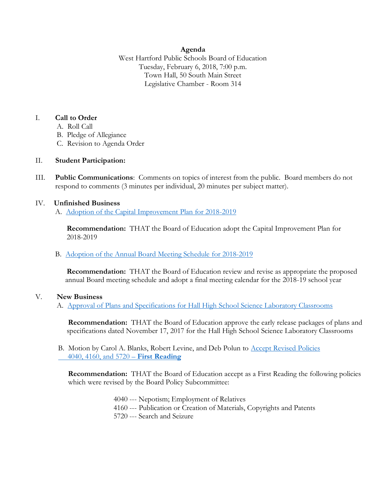### **Agenda**

West Hartford Public Schools Board of Education Tuesday, February 6, 2018, 7:00 p.m. Town Hall, 50 South Main Street Legislative Chamber - Room 314

### I. **Call to Order**

- A. Roll Call
- B. Pledge of Allegiance
- C. Revision to Agenda Order

# II. **Student Participation:**

III. **Public Communications**: Comments on topics of interest from the public. Board members do not respond to comments (3 minutes per individual, 20 minutes per subject matter).

### IV. **Unfinished Business**

A. [Adoption of the Capital Improvement Plan for 2018-2019](https://www.whps.org/uploaded/BOE/BOE_Documents/20180206/Adoption_of_CIP.pdf?1517510895391)

 **Recommendation:** THAT the Board of Education adopt the Capital Improvement Plan for 2018-2019

# B. [Adoption of the Annual Board Meeting Schedule](https://www.whps.org/uploaded/BOE/BOE_Documents/20180206/Newest_boiler_plate_2-6-2108.pdf?1517510920974) for 2018-2019

 **Recommendation:** THAT the Board of Education review and revise as appropriate the proposed annual Board meeting schedule and adopt a final meeting calendar for the 2018-19 school year

# V. **New Business**

A. [Approval of Plans and Specifications for Hall High School Science Laboratory Classrooms](https://www.whps.org/uploaded/BOE/BOE_Documents/20180206/Hall_BOE_Agenda_02062018.pdf?1517510982693)

**Recommendation:** THAT the Board of Education approve the early release packages of plans and specifications dated November 17, 2017 for the Hall High School Science Laboratory Classrooms

B. Motion by Carol A. Blanks, Robert Levine, and Deb Polun to [Accept Revised Policies](https://www.whps.org/uploaded/BOE/BOE_Documents/20180206/2-6-18_agenda_item,_V.B._4040,_4160,_5720,_1st_rdg.pdf?1517511041509)   [4040, 4160, and 5720](https://www.whps.org/uploaded/BOE/BOE_Documents/20180206/2-6-18_agenda_item,_V.B._4040,_4160,_5720,_1st_rdg.pdf?1517511041509) – **First Reading**

**Recommendation:** THAT the Board of Education accept as a First Reading the following policies which were revised by the Board Policy Subcommittee:

> 4040 --- Nepotism; Employment of Relatives 4160 --- Publication or Creation of Materials, Copyrights and Patents 5720 --- Search and Seizure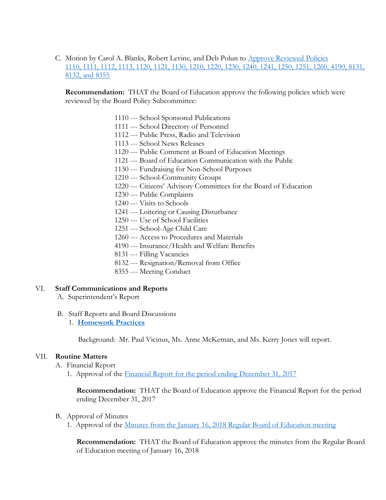C. Motion by Carol A. Blanks, Robert Levine, and Deb Polun to [Approve Reviewed Policies](https://www.whps.org/uploaded/BOE/BOE_Documents/20180206/2-6-18_agenda_item,_V.C.,_reviewed_policies_1110,_1111,_1112,_1113,_1120,_1121,_1130,_1210,_1220,_1230,_1240,_1241,_1250,_1251,_1260.pdf?1517511073045) [1110, 1111, 1112, 1113, 1120, 1121, 1130, 1210, 1220, 1230, 1240, 1241, 1250, 1251, 1260, 4190, 8131,](https://www.whps.org/uploaded/BOE/BOE_Documents/20180206/2-6-18_agenda_item,_V.C.,_reviewed_policies_1110,_1111,_1112,_1113,_1120,_1121,_1130,_1210,_1220,_1230,_1240,_1241,_1250,_1251,_1260.pdf?1517511073045)  [8132, and 8355](https://www.whps.org/uploaded/BOE/BOE_Documents/20180206/2-6-18_agenda_item,_V.C.,_reviewed_policies_1110,_1111,_1112,_1113,_1120,_1121,_1130,_1210,_1220,_1230,_1240,_1241,_1250,_1251,_1260.pdf?1517511073045)

**Recommendation:** THAT the Board of Education approve the following policies which were reviewed by the Board Policy Subcommittee:

- 1110 --- School Sponsored Publications
- 1111 --- School Directory of Personnel
- 1112 --- Public Press, Radio and Television
- 1113 --- School News Releases
- 1120 --- Public Comment at Board of Education Meetings
- 1121 --- Board of Education Communication with the Public
- 1130 --- Fundraising for Non-School Purposes
- 1210 --- School-Community Groups
- 1220 --- Citizens' Advisory Committees for the Board of Education
- 1230 --- Public Complaints
- 1240 --- Visits to Schools
- 1241 --- Loitering or Causing Disturbance
- 1250 --- Use of School Facilities
- 1251 --- School-Age Child Care
- 1260 --- Access to Procedures and Materials
- 4190 --- Insurance/Health and Welfare Benefits
- 8131 --- Filling Vacancies
- 8132 --- Resignation/Removal from Office
- 8355 --- Meeting Conduct

#### VI. **Staff Communications and Reports**

- A. Superintendent's Report
- B. Staff Reports and Board Discussions
	- 1. **[Homework Practices](https://www.whps.org/uploaded/BOE/BOE_Documents/20180206/Homework_Practices_2018_02_06.pdf?1517511274100)**

Background: Mr. Paul Vicinus, Ms. Anne McKernan, and Ms. Kerry Jones will report.

### VII. **Routine Matters**

- A. Financial Report
	- 1. Approval of the [Financial Report for the period ending December 31, 2017](https://www.whps.org/uploaded/BOE/BOE_Documents/20180206/Financial_Report_-_December_31,_2017.pdf?1517510947462)

**Recommendation:** THAT the Board of Education approve the Financial Report for the period ending December 31, 2017

### B. Approval of Minutes

1. Approval of the Minutes from the January 16, 2018 [Regular Board of Education meeting](https://www.whps.org/uploaded/BOE/BOE_Documents/20180206/minutes_from_Jan._16,_2018.pdf?1517511290092)

**Recommendation:** THAT the Board of Education approve the minutes from the Regular Board of Education meeting of January 16, 2018